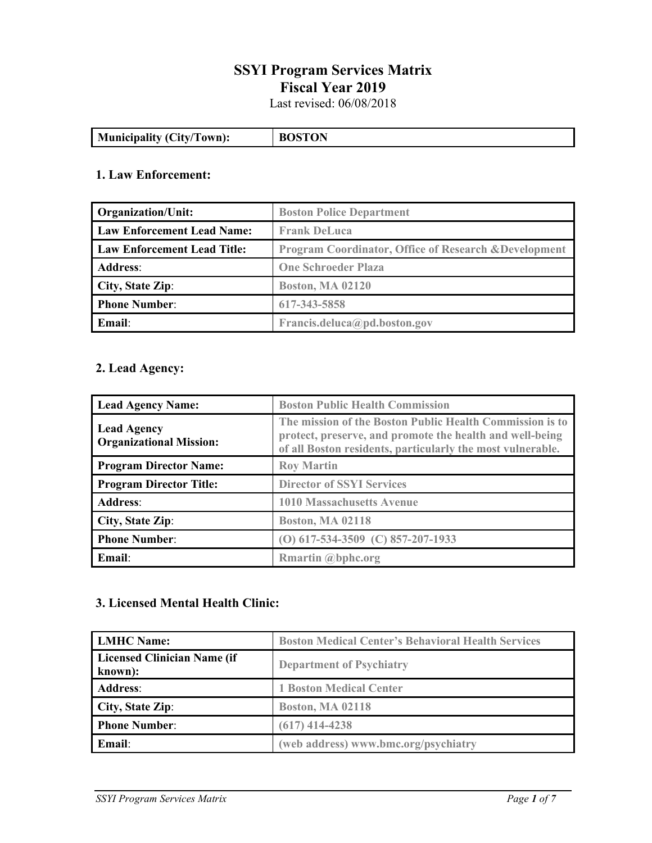# **SSYI Program Services Matrix Fiscal Year 2019**

Last revised: 06/08/2018

| <b>Municipality (City/Town):</b> | тох |
|----------------------------------|-----|
|                                  |     |

## **1. Law Enforcement:**

| <b>Organization/Unit:</b>          | <b>Boston Police Department</b>                                  |
|------------------------------------|------------------------------------------------------------------|
| <b>Law Enforcement Lead Name:</b>  | <b>Frank DeLuca</b>                                              |
| <b>Law Enforcement Lead Title:</b> | <b>Program Coordinator, Office of Research &amp; Development</b> |
| <b>Address:</b>                    | <b>One Schroeder Plaza</b>                                       |
| City, State Zip:                   | <b>Boston, MA 02120</b>                                          |
| <b>Phone Number:</b>               | 617-343-5858                                                     |
| Email:                             | Francis.deluca@pd.boston.gov                                     |

## **2. Lead Agency:**

| <b>Lead Agency Name:</b>                             | <b>Boston Public Health Commission</b>                                                                                                                                             |
|------------------------------------------------------|------------------------------------------------------------------------------------------------------------------------------------------------------------------------------------|
| <b>Lead Agency</b><br><b>Organizational Mission:</b> | The mission of the Boston Public Health Commission is to<br>protect, preserve, and promote the health and well-being<br>of all Boston residents, particularly the most vulnerable. |
| <b>Program Director Name:</b>                        | <b>Roy Martin</b>                                                                                                                                                                  |
| <b>Program Director Title:</b>                       | <b>Director of SSYI Services</b>                                                                                                                                                   |
| <b>Address:</b>                                      | <b>1010 Massachusetts Avenue</b>                                                                                                                                                   |
| City, State Zip:                                     | <b>Boston, MA 02118</b>                                                                                                                                                            |
| <b>Phone Number:</b>                                 | (O) $617-534-3509$ (C) $857-207-1933$                                                                                                                                              |
| Email:                                               | Rmartin @bphc.org                                                                                                                                                                  |

### **3. Licensed Mental Health Clinic:**

| <b>LMHC Name:</b>                      | <b>Boston Medical Center's Behavioral Health Services</b> |
|----------------------------------------|-----------------------------------------------------------|
| Licensed Clinician Name (if<br>known): | <b>Department of Psychiatry</b>                           |
| <b>Address:</b>                        | <b>1 Boston Medical Center</b>                            |
| City, State Zip:                       | <b>Boston, MA 02118</b>                                   |
| <b>Phone Number:</b>                   | $(617)$ 414-4238                                          |
| Email:                                 | (web address) www.bmc.org/psychiatry                      |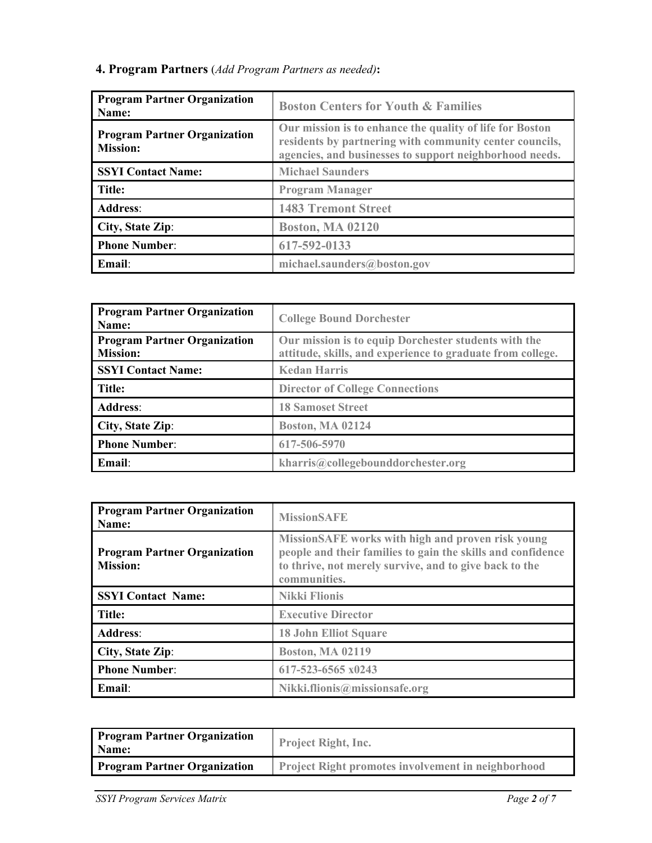| <b>Program Partner Organization</b><br>Name:           | <b>Boston Centers for Youth &amp; Families</b>                                                                                                                                 |
|--------------------------------------------------------|--------------------------------------------------------------------------------------------------------------------------------------------------------------------------------|
| <b>Program Partner Organization</b><br><b>Mission:</b> | Our mission is to enhance the quality of life for Boston<br>residents by partnering with community center councils,<br>agencies, and businesses to support neighborhood needs. |
| <b>SSYI Contact Name:</b>                              | <b>Michael Saunders</b>                                                                                                                                                        |
| Title:                                                 | <b>Program Manager</b>                                                                                                                                                         |
| <b>Address:</b>                                        | <b>1483 Tremont Street</b>                                                                                                                                                     |
| City, State Zip:                                       | <b>Boston, MA 02120</b>                                                                                                                                                        |
| <b>Phone Number:</b>                                   | 617-592-0133                                                                                                                                                                   |
| Email:                                                 | michael.saunders@boston.gov                                                                                                                                                    |

**4. Program Partners** (*Add Program Partners as needed)***:**

| <b>Program Partner Organization</b><br>Name:           | <b>College Bound Dorchester</b>                                                                                    |
|--------------------------------------------------------|--------------------------------------------------------------------------------------------------------------------|
| <b>Program Partner Organization</b><br><b>Mission:</b> | Our mission is to equip Dorchester students with the<br>attitude, skills, and experience to graduate from college. |
| <b>SSYI Contact Name:</b>                              | <b>Kedan Harris</b>                                                                                                |
| Title:                                                 | <b>Director of College Connections</b>                                                                             |
| <b>Address:</b>                                        | <b>18 Samoset Street</b>                                                                                           |
| City, State Zip:                                       | <b>Boston, MA 02124</b>                                                                                            |
| <b>Phone Number:</b>                                   | 617-506-5970                                                                                                       |
| Email:                                                 | kharris@collegebounddorchester.org                                                                                 |

| <b>Program Partner Organization</b><br>Name:           | <b>MissionSAFE</b>                                                                                                                                                                         |
|--------------------------------------------------------|--------------------------------------------------------------------------------------------------------------------------------------------------------------------------------------------|
| <b>Program Partner Organization</b><br><b>Mission:</b> | MissionSAFE works with high and proven risk young<br>people and their families to gain the skills and confidence<br>to thrive, not merely survive, and to give back to the<br>communities. |
| <b>SSYI Contact Name:</b>                              | <b>Nikki Flionis</b>                                                                                                                                                                       |
| Title:                                                 | <b>Executive Director</b>                                                                                                                                                                  |
| <b>Address:</b>                                        | <b>18 John Elliot Square</b>                                                                                                                                                               |
| City, State Zip:                                       | <b>Boston, MA 02119</b>                                                                                                                                                                    |
| <b>Phone Number:</b>                                   | 617-523-6565 x0243                                                                                                                                                                         |
| Email:                                                 | Nikki.flionis@missionsafe.org                                                                                                                                                              |

| <b>Program Partner Organization</b><br>Name: | <b>Project Right, Inc.</b>                                |
|----------------------------------------------|-----------------------------------------------------------|
| <b>Program Partner Organization</b>          | <b>Project Right promotes involvement in neighborhood</b> |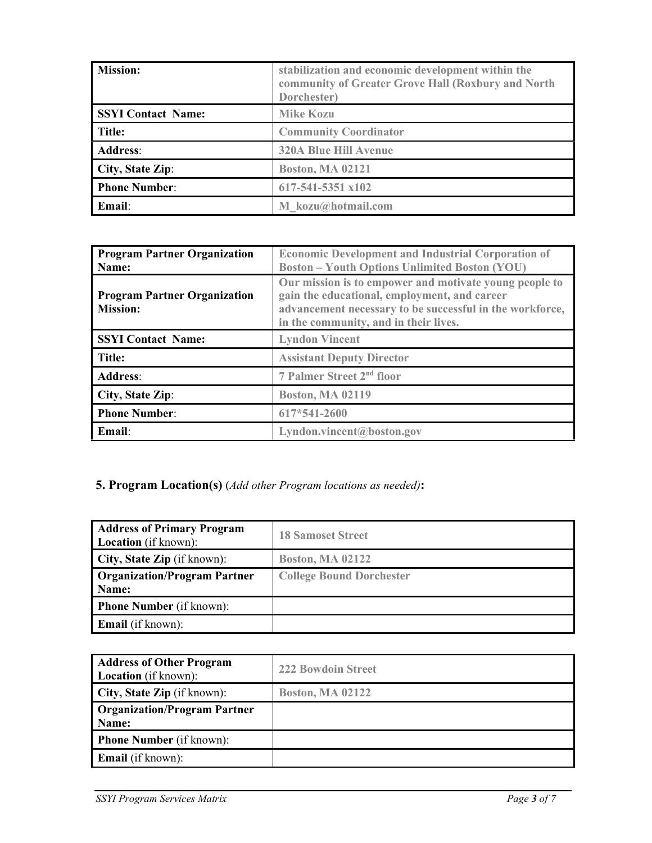| <b>Mission:</b>           | stabilization and economic development within the<br>community of Greater Grove Hall (Roxbury and North<br>Dorchester) |
|---------------------------|------------------------------------------------------------------------------------------------------------------------|
| <b>SSYI Contact Name:</b> | <b>Mike Kozu</b>                                                                                                       |
| Title:                    | <b>Community Coordinator</b>                                                                                           |
| <b>Address:</b>           | <b>320A Blue Hill Avenue</b>                                                                                           |
| City, State Zip:          | <b>Boston, MA 02121</b>                                                                                                |
| <b>Phone Number:</b>      | 617-541-5351 x102                                                                                                      |
| Email:                    | M kozu@hotmail.com                                                                                                     |

| <b>Program Partner Organization</b><br>Name:           | <b>Economic Development and Industrial Corporation of</b><br><b>Boston - Youth Options Unlimited Boston (YOU)</b>                                                                                           |
|--------------------------------------------------------|-------------------------------------------------------------------------------------------------------------------------------------------------------------------------------------------------------------|
| <b>Program Partner Organization</b><br><b>Mission:</b> | Our mission is to empower and motivate young people to<br>gain the educational, employment, and career<br>advancement necessary to be successful in the workforce,<br>in the community, and in their lives. |
| <b>SSYI Contact Name:</b>                              | <b>Lyndon Vincent</b>                                                                                                                                                                                       |
| Title:                                                 | <b>Assistant Deputy Director</b>                                                                                                                                                                            |
| <b>Address:</b>                                        | 7 Palmer Street 2 <sup>nd</sup> floor                                                                                                                                                                       |
| City, State Zip:                                       | <b>Boston, MA 02119</b>                                                                                                                                                                                     |
| <b>Phone Number:</b>                                   | 617*541-2600                                                                                                                                                                                                |
| Email:                                                 | Lyndon.vincent@boston.gov                                                                                                                                                                                   |

# **5. Program Location(s)** (*Add other Program locations as needed)***:**

| <b>Address of Primary Program</b><br><b>Location</b> (if known): | <b>18 Samoset Street</b>        |
|------------------------------------------------------------------|---------------------------------|
| <b>City, State Zip</b> (if known):                               | <b>Boston, MA 02122</b>         |
| <b>Organization/Program Partner</b><br>Name:                     | <b>College Bound Dorchester</b> |
| <b>Phone Number</b> (if known):                                  |                                 |
| <b>Email</b> (if known):                                         |                                 |

| <b>Address of Other Program</b><br><b>Location</b> (if known): | <b>222 Bowdoin Street</b> |
|----------------------------------------------------------------|---------------------------|
| <b>City, State Zip</b> (if known):                             | <b>Boston, MA 02122</b>   |
| <b>Organization/Program Partner</b><br>Name:                   |                           |
| <b>Phone Number</b> (if known):                                |                           |
| <b>Email</b> (if known):                                       |                           |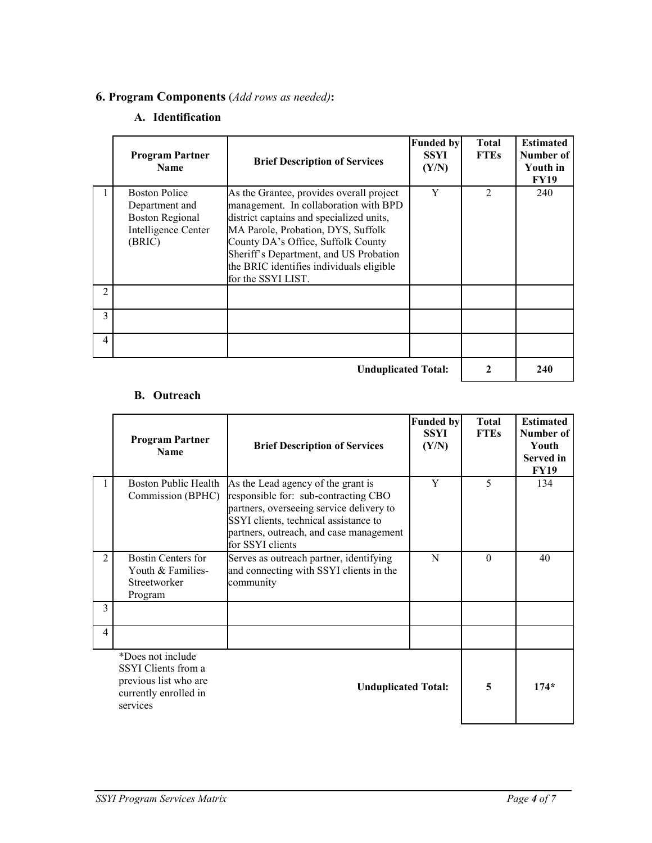# **6. Program Components** (*Add rows as needed)***:**

# **A. Identification**

|                            | <b>Program Partner</b><br><b>Name</b>                                                             | <b>Brief Description of Services</b>                                                                                                                                                                                                                                                                                  | <b>Funded by</b><br><b>SSYI</b><br>(Y/N) | <b>Total</b><br><b>FTEs</b> | <b>Estimated</b><br>Number of<br>Youth in<br><b>FY19</b> |
|----------------------------|---------------------------------------------------------------------------------------------------|-----------------------------------------------------------------------------------------------------------------------------------------------------------------------------------------------------------------------------------------------------------------------------------------------------------------------|------------------------------------------|-----------------------------|----------------------------------------------------------|
|                            | <b>Boston Police</b><br>Department and<br><b>Boston Regional</b><br>Intelligence Center<br>(BRIC) | As the Grantee, provides overall project<br>management. In collaboration with BPD<br>district captains and specialized units,<br>MA Parole, Probation, DYS, Suffolk<br>County DA's Office, Suffolk County<br>Sheriff's Department, and US Probation<br>the BRIC identifies individuals eligible<br>for the SSYI LIST. | Y                                        | $\mathfrak{D}$              | 240                                                      |
| 2                          |                                                                                                   |                                                                                                                                                                                                                                                                                                                       |                                          |                             |                                                          |
| 3                          |                                                                                                   |                                                                                                                                                                                                                                                                                                                       |                                          |                             |                                                          |
| 4                          |                                                                                                   |                                                                                                                                                                                                                                                                                                                       |                                          |                             |                                                          |
| <b>Unduplicated Total:</b> |                                                                                                   |                                                                                                                                                                                                                                                                                                                       |                                          |                             | 240                                                      |

#### **B. Outreach**

|                | <b>Program Partner</b><br><b>Name</b>                                                                  | <b>Brief Description of Services</b>                                                                                                                                                                                           | <b>Funded by</b><br><b>SSYI</b><br>(Y/N) | <b>Total</b><br><b>FTEs</b> | <b>Estimated</b><br>Number of<br>Youth<br><b>Served</b> in<br><b>FY19</b> |
|----------------|--------------------------------------------------------------------------------------------------------|--------------------------------------------------------------------------------------------------------------------------------------------------------------------------------------------------------------------------------|------------------------------------------|-----------------------------|---------------------------------------------------------------------------|
|                | Boston Public Health<br>Commission (BPHC)                                                              | As the Lead agency of the grant is<br>responsible for: sub-contracting CBO<br>partners, overseeing service delivery to<br>SSYI clients, technical assistance to<br>partners, outreach, and case management<br>for SSYI clients | Y                                        | 5                           | 134                                                                       |
| $\overline{c}$ | <b>Bostin Centers for</b><br>Youth & Families-<br>Streetworker<br>Program                              | Serves as outreach partner, identifying<br>and connecting with SSYI clients in the<br>community                                                                                                                                | N                                        | $\Omega$                    | 40                                                                        |
| 3              |                                                                                                        |                                                                                                                                                                                                                                |                                          |                             |                                                                           |
| 4              |                                                                                                        |                                                                                                                                                                                                                                |                                          |                             |                                                                           |
|                | *Does not include<br>SSYI Clients from a<br>previous list who are<br>currently enrolled in<br>services | <b>Unduplicated Total:</b>                                                                                                                                                                                                     |                                          | 5                           | $174*$                                                                    |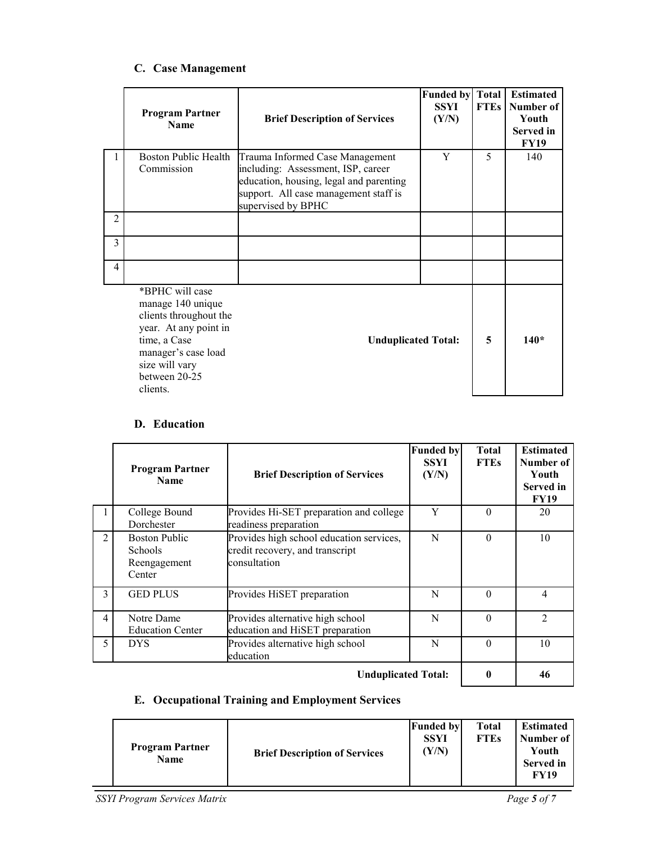| C. Case Management |
|--------------------|
|--------------------|

|   | <b>Program Partner</b><br><b>Name</b>                                                                                                                                         | <b>Brief Description of Services</b>                                                                                                                                            | <b>Funded by Total</b><br><b>SSYI</b><br>(Y/N) | <b>FTEs</b> | <b>Estimated</b><br>Number of<br>Youth<br>Served in<br><b>FY19</b> |
|---|-------------------------------------------------------------------------------------------------------------------------------------------------------------------------------|---------------------------------------------------------------------------------------------------------------------------------------------------------------------------------|------------------------------------------------|-------------|--------------------------------------------------------------------|
|   | Boston Public Health<br>Commission                                                                                                                                            | Trauma Informed Case Management<br>including: Assessment, ISP, career<br>education, housing, legal and parenting<br>support. All case management staff is<br>supervised by BPHC | Y                                              | 5           | 140                                                                |
| 2 |                                                                                                                                                                               |                                                                                                                                                                                 |                                                |             |                                                                    |
| 3 |                                                                                                                                                                               |                                                                                                                                                                                 |                                                |             |                                                                    |
| 4 |                                                                                                                                                                               |                                                                                                                                                                                 |                                                |             |                                                                    |
|   | *BPHC will case<br>manage 140 unique<br>clients throughout the<br>year. At any point in<br>time, a Case<br>manager's case load<br>size will vary<br>between 20-25<br>clients. | <b>Unduplicated Total:</b>                                                                                                                                                      |                                                | 5           | $140*$                                                             |

#### **D. Education**

|                            | <b>Program Partner</b><br><b>Name</b>                            | <b>Brief Description of Services</b>                                                        | <b>Funded by</b><br><b>SSYI</b><br>(Y/N) | <b>Total</b><br><b>FTEs</b> | <b>Estimated</b><br>Number of<br>Youth<br><b>Served</b> in<br><b>FY19</b> |
|----------------------------|------------------------------------------------------------------|---------------------------------------------------------------------------------------------|------------------------------------------|-----------------------------|---------------------------------------------------------------------------|
|                            | College Bound<br>Dorchester                                      | Provides Hi-SET preparation and college<br>readiness preparation                            | Y                                        | $\Omega$                    | 20                                                                        |
| $\overline{c}$             | <b>Boston Public</b><br><b>Schools</b><br>Reengagement<br>Center | Provides high school education services,<br>credit recovery, and transcript<br>consultation | N                                        | $\Omega$                    | 10                                                                        |
| 3                          | <b>GED PLUS</b>                                                  | Provides HiSET preparation                                                                  | N                                        | $\Omega$                    | $\overline{4}$                                                            |
| 4                          | Notre Dame<br><b>Education Center</b>                            | Provides alternative high school<br>education and HiSET preparation                         | N                                        | $\Omega$                    | $\mathfrak{D}$                                                            |
| 5                          | <b>DYS</b>                                                       | Provides alternative high school<br>education                                               | N                                        | $\Omega$                    | 10                                                                        |
| <b>Unduplicated Total:</b> |                                                                  |                                                                                             |                                          |                             | 46                                                                        |

## **E. Occupational Training and Employment Services**

| <b>Program Partner</b><br><b>Name</b> | <b>Brief Description of Services</b> | <b>Funded by</b><br><b>SSYI</b><br>(Y/N) | <b>Total</b><br><b>FTEs</b> | <b>Estimated</b><br>Number of<br>Youth<br><b>Served</b> in<br><b>FY19</b> |
|---------------------------------------|--------------------------------------|------------------------------------------|-----------------------------|---------------------------------------------------------------------------|
|---------------------------------------|--------------------------------------|------------------------------------------|-----------------------------|---------------------------------------------------------------------------|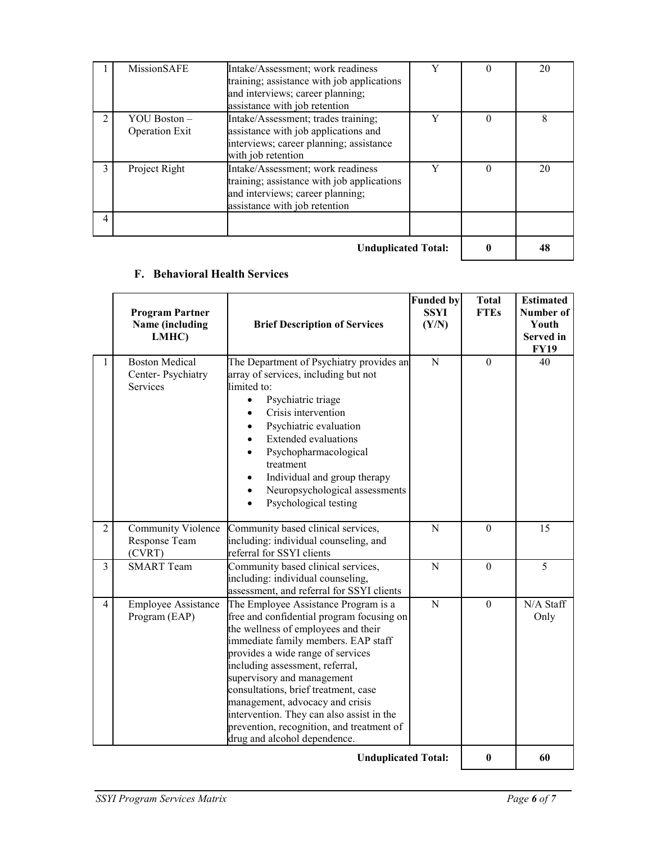|                            | MissionSAFE                             | Intake/Assessment; work readiness<br>training; assistance with job applications<br>and interviews; career planning;<br>assistance with job retention | v | 0        | 20 |
|----------------------------|-----------------------------------------|------------------------------------------------------------------------------------------------------------------------------------------------------|---|----------|----|
| $\mathfrak{D}$             | YOU Boston $-$<br><b>Operation Exit</b> | Intake/Assessment; trades training;<br>assistance with job applications and<br>interviews; career planning; assistance<br>with job retention         | Y | $\Omega$ | 8  |
| 3                          | Project Right                           | Intake/Assessment; work readiness<br>training; assistance with job applications<br>and interviews; career planning;<br>assistance with job retention | v | $\Omega$ | 20 |
| 4                          |                                         |                                                                                                                                                      |   |          |    |
| <b>Unduplicated Total:</b> |                                         |                                                                                                                                                      |   |          | 48 |

#### **F. Behavioral Health Services**

|                | <b>Program Partner</b><br>Name (including<br>LMHC)     | <b>Brief Description of Services</b>                                                                                                                                                                                                                                                                                                                                                                                                                                       | <b>Funded by</b><br><b>SSYI</b><br>(Y/N) | <b>Total</b><br><b>FTEs</b> | <b>Estimated</b><br>Number of<br>Youth<br>Served in<br><b>FY19</b> |
|----------------|--------------------------------------------------------|----------------------------------------------------------------------------------------------------------------------------------------------------------------------------------------------------------------------------------------------------------------------------------------------------------------------------------------------------------------------------------------------------------------------------------------------------------------------------|------------------------------------------|-----------------------------|--------------------------------------------------------------------|
| 1              | <b>Boston Medical</b><br>Center-Psychiatry<br>Services | The Department of Psychiatry provides an<br>array of services, including but not<br>limited to:<br>Psychiatric triage<br>$\bullet$<br>Crisis intervention<br>Psychiatric evaluation<br><b>Extended</b> evaluations<br>Psychopharmacological<br>treatment<br>Individual and group therapy<br>Neuropsychological assessments<br>$\bullet$<br>Psychological testing                                                                                                           | ${\bf N}$                                | $\boldsymbol{0}$            | 40                                                                 |
| $\overline{2}$ | Community Violence<br>Response Team<br>(CVRT)          | Community based clinical services,<br>including: individual counseling, and<br>referral for SSYI clients                                                                                                                                                                                                                                                                                                                                                                   | $\mathbf N$                              | $\mathbf{0}$                | 15                                                                 |
| $\overline{3}$ | <b>SMART</b> Team                                      | Community based clinical services,<br>including: individual counseling,<br>assessment, and referral for SSYI clients                                                                                                                                                                                                                                                                                                                                                       | ${\bf N}$                                | $\boldsymbol{0}$            | 5                                                                  |
| $\overline{4}$ | <b>Employee Assistance</b><br>Program (EAP)            | The Employee Assistance Program is a<br>free and confidential program focusing on<br>the wellness of employees and their<br>immediate family members. EAP staff<br>provides a wide range of services<br>including assessment, referral,<br>supervisory and management<br>consultations, brief treatment, case<br>management, advocacy and crisis<br>intervention. They can also assist in the<br>prevention, recognition, and treatment of<br>drug and alcohol dependence. | ${\bf N}$                                | $\theta$                    | N/A Staff<br>Only                                                  |
|                | Undualizated Tatel.                                    |                                                                                                                                                                                                                                                                                                                                                                                                                                                                            |                                          |                             | ZΛ                                                                 |

 **Unduplicated Total: 0 60**